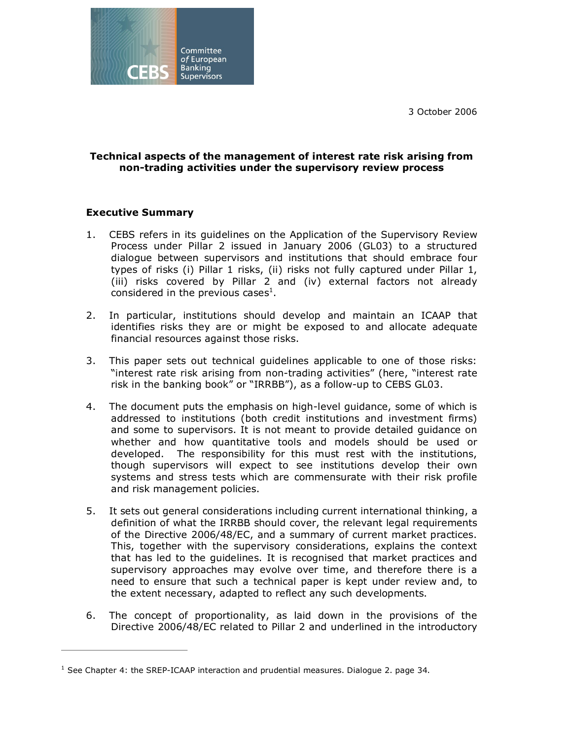3 October 2006



# **Technical aspects of the management of interest rate risk arising from non-trading activities under the supervisory review process**

# **Executive Summary**

- 1. CEBS refers in its guidelines on the Application of the Supervisory Review Process under Pillar 2 issued in January 2006 (GL03) to a structured dialogue between supervisors and institutions that should embrace four types of risks (i) Pillar 1 risks, (ii) risks not fully captured under Pillar 1, (iii) risks covered by Pillar 2 and (iv) external factors not already considered in the previous cases<sup>1</sup>.
- 2. In particular, institutions should develop and maintain an ICAAP that identifies risks they are or might be exposed to and allocate adequate financial resources against those risks.
- 3. This paper sets out technical guidelines applicable to one of those risks: "interest rate risk arising from non-trading activities" (here, "interest rate risk in the banking book" or "IRRBB"), as a follow-up to CEBS GL03.
- 4. The document puts the emphasis on high-level guidance, some of which is addressed to institutions (both credit institutions and investment firms) and some to supervisors. It is not meant to provide detailed guidance on whether and how quantitative tools and models should be used or developed. The responsibility for this must rest with the institutions, though supervisors will expect to see institutions develop their own systems and stress tests which are commensurate with their risk profile and risk management policies.
- 5. It sets out general considerations including current international thinking, a definition of what the IRRBB should cover, the relevant legal requirements of the Directive 2006/48/EC, and a summary of current market practices. This, together with the supervisory considerations, explains the context that has led to the guidelines. It is recognised that market practices and supervisory approaches may evolve over time, and therefore there is a need to ensure that such a technical paper is kept under review and, to the extent necessary, adapted to reflect any such developments.
- 6. The concept of proportionality, as laid down in the provisions of the Directive 2006/48/EC related to Pillar 2 and underlined in the introductory

<sup>&</sup>lt;sup>1</sup> See Chapter 4: the SREP-ICAAP interaction and prudential measures. Dialogue 2. page 34.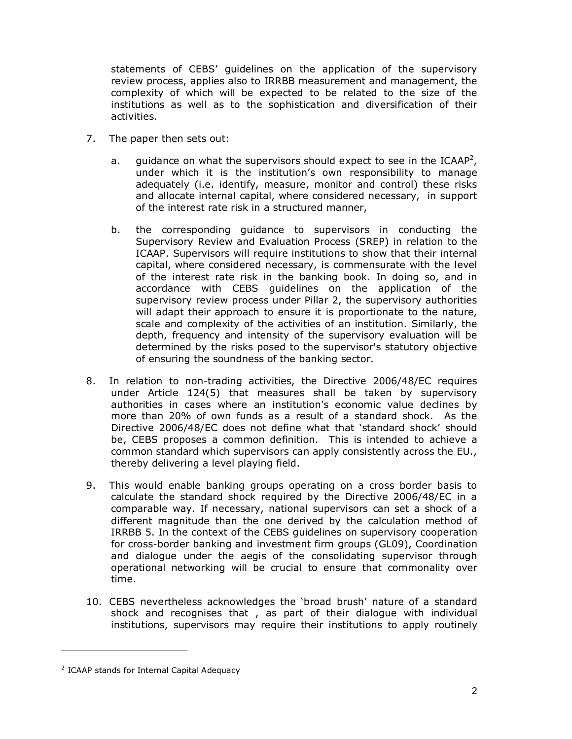statements of CEBS' guidelines on the application of the supervisory review process, applies also to IRRBB measurement and management, the complexity of which will be expected to be related to the size of the institutions as well as to the sophistication and diversification of their activities.

- 7. The paper then sets out:
	- a. guidance on what the supervisors should expect to see in the ICAAP<sup>2</sup>, under which it is the institution's own responsibility to manage adequately (i.e. identify, measure, monitor and control) these risks and allocate internal capital, where considered necessary, in support of the interest rate risk in a structured manner,
	- b. the corresponding guidance to supervisors in conducting the Supervisory Review and Evaluation Process (SREP) in relation to the ICAAP. Supervisors will require institutions to show that their internal capital, where considered necessary, is commensurate with the level of the interest rate risk in the banking book. In doing so, and in accordance with CEBS guidelines on the application of the supervisory review process under Pillar 2, the supervisory authorities will adapt their approach to ensure it is proportionate to the nature, scale and complexity of the activities of an institution. Similarly, the depth, frequency and intensity of the supervisory evaluation will be determined by the risks posed to the supervisor's statutory objective of ensuring the soundness of the banking sector.
- 8. In relation to non-trading activities, the Directive 2006/48/EC requires under Article 124(5) that measures shall be taken by supervisory authorities in cases where an institution's economic value declines by more than 20% of own funds as a result of a standard shock. As the Directive 2006/48/EC does not define what that 'standard shock' should be, CEBS proposes a common definition. This is intended to achieve a common standard which supervisors can apply consistently across the EU., thereby delivering a level playing field.
- 9. This would enable banking groups operating on a cross border basis to calculate the standard shock required by the Directive 2006/48/EC in a comparable way. If necessary, national supervisors can set a shock of a different magnitude than the one derived by the calculation method of IRRBB 5. In the context of the CEBS guidelines on supervisory cooperation for cross-border banking and investment firm groups (GL09), Coordination and dialogue under the aegis of the consolidating supervisor through operational networking will be crucial to ensure that commonality over time.
- 10. CEBS nevertheless acknowledges the 'broad brush' nature of a standard shock and recognises that , as part of their dialogue with individual institutions, supervisors may require their institutions to apply routinely

<sup>&</sup>lt;sup>2</sup> ICAAP stands for Internal Capital Adequacy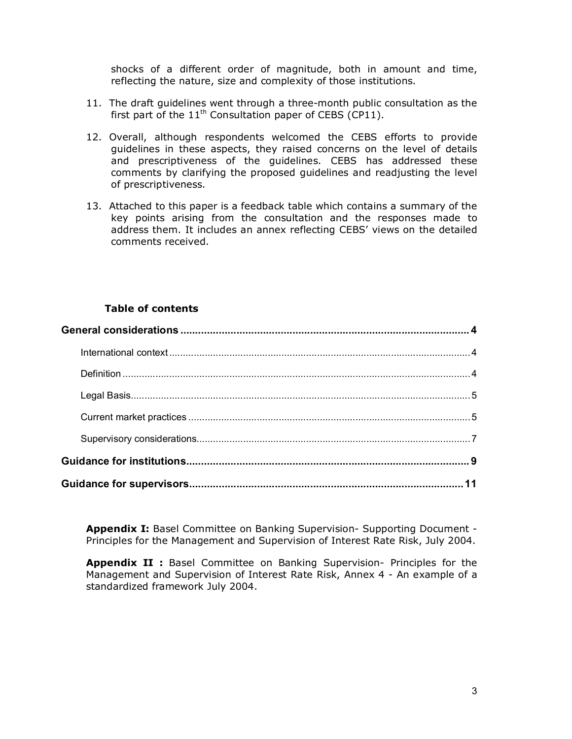shocks of a different order of magnitude, both in amount and time, reflecting the nature, size and complexity of those institutions.

- 11. The draft guidelines went through a three-month public consultation as the first part of the  $11^{\text{th}}$  Consultation paper of CEBS (CP11).
- 12. Overall, although respondents welcomed the CEBS efforts to provide guidelines in these aspects, they raised concerns on the level of details and prescriptiveness of the guidelines. CEBS has addressed these comments by clarifying the proposed guidelines and readjusting the level of prescriptiveness.
- 13. Attached to this paper is a feedback table which contains a summary of the key points arising from the consultation and the responses made to address them. It includes an annex reflecting CEBS' views on the detailed comments received.

# **Table of contents**

Appendix I: Basel Committee on Banking Supervision- Supporting Document -Principles for the Management and Supervision of Interest Rate Risk, July 2004.

**Appendix II** : Basel Committee on Banking Supervision- Principles for the Management and Supervision of Interest Rate Risk, Annex 4 - An example of a standardized framework July 2004.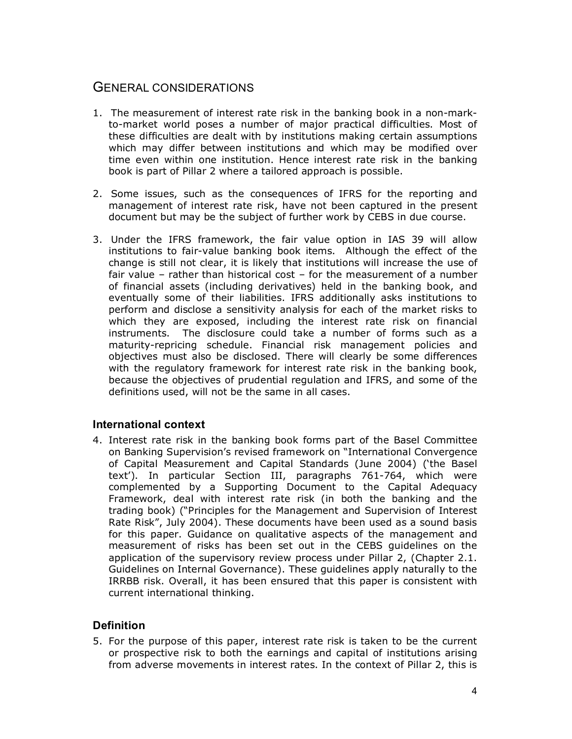# <span id="page-3-0"></span>GENERAL CONSIDERATIONS

- 1. The measurement of interest rate risk in the banking book in a non-markto-market world poses a number of major practical difficulties. Most of these difficulties are dealt with by institutions making certain assumptions which may differ between institutions and which may be modified over time even within one institution. Hence interest rate risk in the banking book is part of Pillar 2 where a tailored approach is possible.
- 2. Some issues, such as the consequences of IFRS for the reporting and management of interest rate risk, have not been captured in the present document but may be the subject of further work by CEBS in due course.
- 3. Under the IFRS framework, the fair value option in IAS 39 will allow institutions to fair-value banking book items. Although the effect of the change is still not clear, it is likely that institutions will increase the use of fair value – rather than historical cost – for the measurement of a number of financial assets (including derivatives) held in the banking book, and eventually some of their liabilities. IFRS additionally asks institutions to perform and disclose a sensitivity analysis for each of the market risks to which they are exposed, including the interest rate risk on financial instruments. The disclosure could take a number of forms such as a maturity-repricing schedule. Financial risk management policies and objectives must also be disclosed. There will clearly be some differences with the regulatory framework for interest rate risk in the banking book, because the objectives of prudential regulation and IFRS, and some of the definitions used, will not be the same in all cases.

# <span id="page-3-1"></span>**International context**

4. Interest rate risk in the banking book forms part of the Basel Committee on Banking Supervision's revised framework on "International Convergence of Capital Measurement and Capital Standards (June 2004) ('the Basel text'). In particular Section III, paragraphs 761-764, which were complemented by a Supporting Document to the Capital Adequacy Framework, deal with interest rate risk (in both the banking and the trading book) ("Principles for the Management and Supervision of Interest Rate Risk", July 2004). These documents have been used as a sound basis for this paper. Guidance on qualitative aspects of the management and measurement of risks has been set out in the CEBS guidelines on the application of the supervisory review process under Pillar 2, (Chapter 2.1. Guidelines on Internal Governance). These guidelines apply naturally to the IRRBB risk. Overall, it has been ensured that this paper is consistent with current international thinking.

# <span id="page-3-2"></span>**Definition**

5. For the purpose of this paper, interest rate risk is taken to be the current or prospective risk to both the earnings and capital of institutions arising from adverse movements in interest rates. In the context of Pillar 2, this is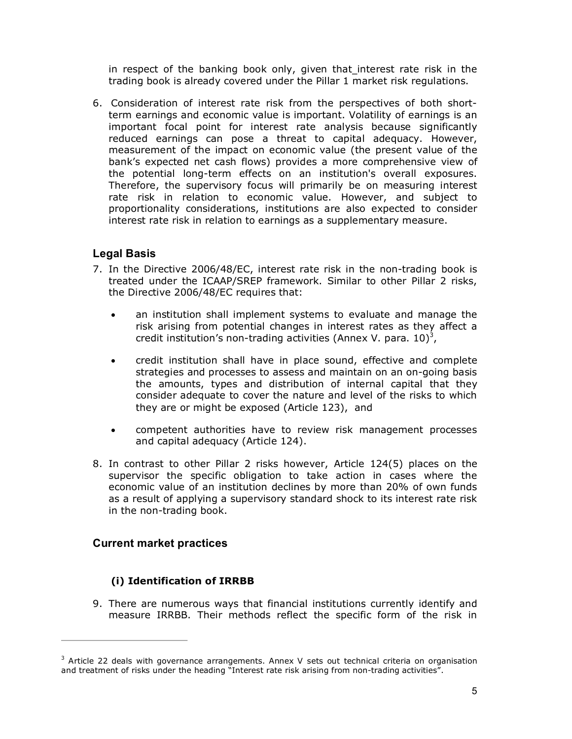in respect of the banking book only, given that interest rate risk in the trading book is already covered under the Pillar 1 market risk regulations.

6. Consideration of interest rate risk from the perspectives of both shortterm earnings and economic value is important. Volatility of earnings is an important focal point for interest rate analysis because significantly reduced earnings can pose a threat to capital adequacy. However, measurement of the impact on economic value (the present value of the bank's expected net cash flows) provides a more comprehensive view of the potential long-term effects on an institution's overall exposures. Therefore, the supervisory focus will primarily be on measuring interest rate risk in relation to economic value. However, and subject to proportionality considerations, institutions are also expected to consider interest rate risk in relation to earnings as a supplementary measure.

# <span id="page-4-0"></span>**Legal Basis**

- 7. In the Directive 2006/48/EC, interest rate risk in the non-trading book is treated under the ICAAP/SREP framework. Similar to other Pillar 2 risks, the Directive 2006/48/EC requires that:
	- · an institution shall implement systems to evaluate and manage the risk arising from potential changes in interest rates as they affect a credit institution's non-trading activities (Annex V. para. 10)<sup>3</sup>,
	- · credit institution shall have in place sound, effective and complete strategies and processes to assess and maintain on an on-going basis the amounts, types and distribution of internal capital that they consider adequate to cover the nature and level of the risks to which they are or might be exposed (Article 123), and
	- · competent authorities have to review risk management processes and capital adequacy (Article 124).
- 8. In contrast to other Pillar 2 risks however, Article 124(5) places on the supervisor the specific obligation to take action in cases where the economic value of an institution declines by more than 20% of own funds as a result of applying a supervisory standard shock to its interest rate risk in the non-trading book.

# <span id="page-4-1"></span>**Current market practices**

# **(i) Identification of IRRBB**

9. There are numerous ways that financial institutions currently identify and measure IRRBB. Their methods reflect the specific form of the risk in

 $3$  Article 22 deals with governance arrangements. Annex V sets out technical criteria on organisation and treatment of risks under the heading "Interest rate risk arising from non-trading activities".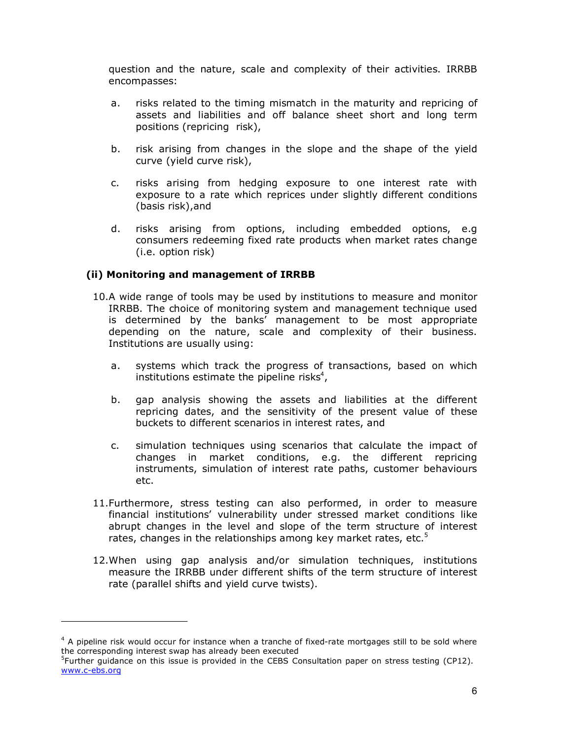question and the nature, scale and complexity of their activities. IRRBB encompasses:

- a. risks related to the timing mismatch in the maturity and repricing of assets and liabilities and off balance sheet short and long term positions (repricing risk),
- b. risk arising from changes in the slope and the shape of the yield curve (yield curve risk),
- c. risks arising from hedging exposure to one interest rate with exposure to a rate which reprices under slightly different conditions (basis risk),and
- d. risks arising from options, including embedded options, e.g consumers redeeming fixed rate products when market rates change (i.e. option risk)

# **(ii) Monitoring and management of IRRBB**

- 10.A wide range of tools may be used by institutions to measure and monitor IRRBB. The choice of monitoring system and management technique used is determined by the banks' management to be most appropriate depending on the nature, scale and complexity of their business. Institutions are usually using:
	- a. systems which track the progress of transactions, based on which institutions estimate the pipeline risks <sup>4</sup>,
	- b. gap analysis showing the assets and liabilities at the different repricing dates, and the sensitivity of the present value of these buckets to different scenarios in interest rates, and
	- c. simulation techniques using scenarios that calculate the impact of changes in market conditions, e.g. the different repricing instruments, simulation of interest rate paths, customer behaviours etc.
- 11.Furthermore, stress testing can also performed, in order to measure financial institutions' vulnerability under stressed market conditions like abrupt changes in the level and slope of the term structure of interest rates, changes in the relationships among key market rates, etc. $5$
- 12.When using gap analysis and/or simulation techniques, institutions measure the IRRBB under different shifts of the term structure of interest rate (parallel shifts and yield curve twists).

 $4$  A pipeline risk would occur for instance when a tranche of fixed-rate mortgages still to be sold where the corresponding interest swap has already been executed

 ${}^{5}$ Further guidance on this issue is provided in the CEBS Consultation paper on stress testing (CP12). www.c-ebs.org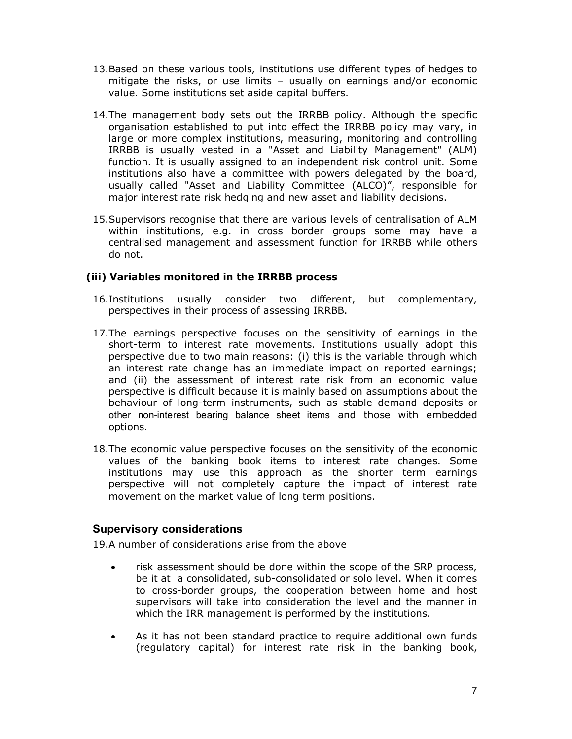- 13.Based on these various tools, institutions use different types of hedges to mitigate the risks, or use limits – usually on earnings and/or economic value. Some institutions set aside capital buffers.
- 14.The management body sets out the IRRBB policy. Although the specific organisation established to put into effect the IRRBB policy may vary, in large or more complex institutions, measuring, monitoring and controlling IRRBB is usually vested in a "Asset and Liability Management" (ALM) function. It is usually assigned to an independent risk control unit. Some institutions also have a committee with powers delegated by the board, usually called "Asset and Liability Committee (ALCO)", responsible for major interest rate risk hedging and new asset and liability decisions.
- 15.Supervisors recognise that there are various levels of centralisation of ALM within institutions, e.g. in cross border groups some may have a centralised management and assessment function for IRRBB while others do not.

# **(iii) Variables monitored in the IRRBB process**

- 16.Institutions usually consider two different, but complementary, perspectives in their process of assessing IRRBB.
- 17.The earnings perspective focuses on the sensitivity of earnings in the short-term to interest rate movements. Institutions usually adopt this perspective due to two main reasons: (i) this is the variable through which an interest rate change has an immediate impact on reported earnings; and (ii) the assessment of interest rate risk from an economic value perspective is difficult because it is mainly based on assumptions about the behaviour of long-term instruments, such as stable demand deposits or other noninterest bearing balance sheet items and those with embedded options.
- 18.The economic value perspective focuses on the sensitivity of the economic values of the banking book items to interest rate changes. Some institutions may use this approach as the shorter term earnings perspective will not completely capture the impact of interest rate movement on the market value of long term positions.

# <span id="page-6-0"></span>**Supervisory considerations**

19.A number of considerations arise from the above

- risk assessment should be done within the scope of the SRP process, be it at a consolidated, sub-consolidated or solo level. When it comes to cross-border groups, the cooperation between home and host supervisors will take into consideration the level and the manner in which the IRR management is performed by the institutions.
- · As it has not been standard practice to require additional own funds (regulatory capital) for interest rate risk in the banking book,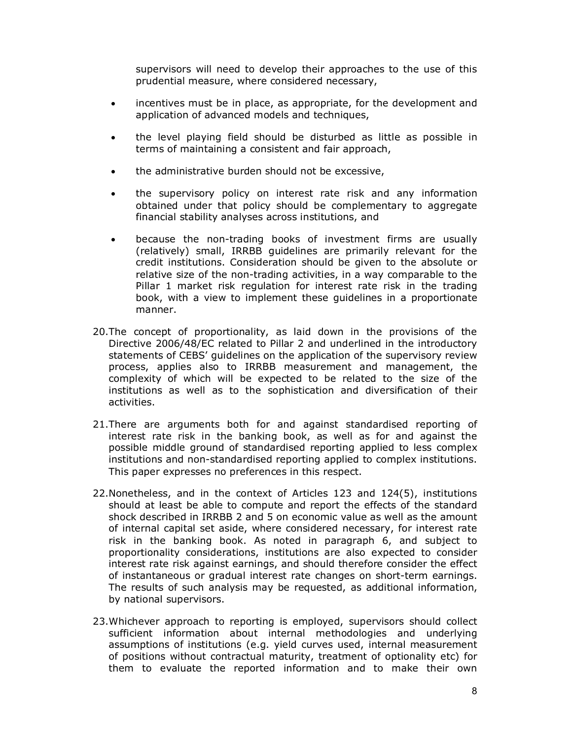supervisors will need to develop their approaches to the use of this prudential measure, where considered necessary,

- · incentives must be in place, as appropriate, for the development and application of advanced models and techniques,
- · the level playing field should be disturbed as little as possible in terms of maintaining a consistent and fair approach,
- the administrative burden should not be excessive,
- · the supervisory policy on interest rate risk and any information obtained under that policy should be complementary to aggregate financial stability analyses across institutions, and
- because the non-trading books of investment firms are usually (relatively) small, IRRBB guidelines are primarily relevant for the credit institutions. Consideration should be given to the absolute or relative size of the non-trading activities, in a way comparable to the Pillar 1 market risk regulation for interest rate risk in the trading book, with a view to implement these guidelines in a proportionate manner.
- 20.The concept of proportionality, as laid down in the provisions of the Directive 2006/48/EC related to Pillar 2 and underlined in the introductory statements of CEBS' guidelines on the application of the supervisory review process, applies also to IRRBB measurement and management, the complexity of which will be expected to be related to the size of the institutions as well as to the sophistication and diversification of their activities.
- 21.There are arguments both for and against standardised reporting of interest rate risk in the banking book, as well as for and against the possible middle ground of standardised reporting applied to less complex institutions and non-standardised reporting applied to complex institutions. This paper expresses no preferences in this respect.
- 22.Nonetheless, and in the context of Articles 123 and 124(5), institutions should at least be able to compute and report the effects of the standard shock described in IRRBB 2 and 5 on economic value as well as the amount of internal capital set aside, where considered necessary, for interest rate risk in the banking book. As noted in paragraph 6, and subject to proportionality considerations, institutions are also expected to consider interest rate risk against earnings, and should therefore consider the effect of instantaneous or gradual interest rate changes on short-term earnings. The results of such analysis may be requested, as additional information, by national supervisors.
- 23.Whichever approach to reporting is employed, supervisors should collect sufficient information about internal methodologies and underlying assumptions of institutions (e.g. yield curves used, internal measurement of positions without contractual maturity, treatment of optionality etc) for them to evaluate the reported information and to make their own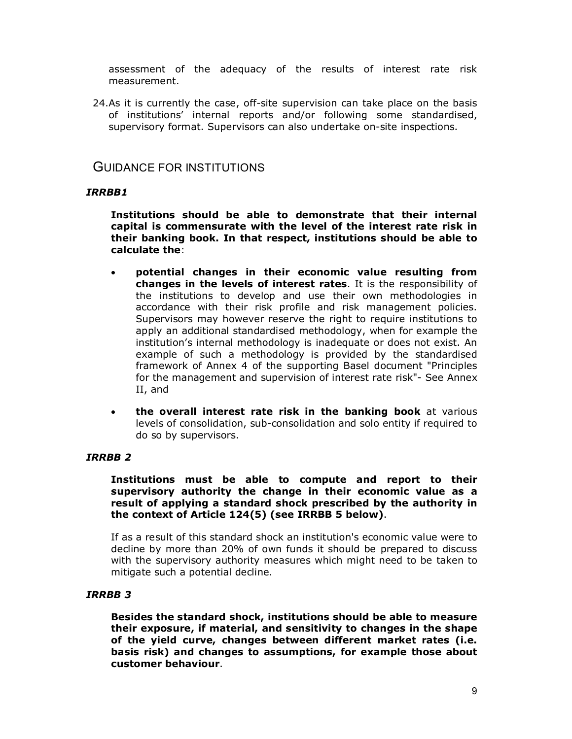assessment of the adequacy of the results of interest rate risk measurement.

24.As it is currently the case, off-site supervision can take place on the basis of institutions' internal reports and/or following some standardised, supervisory format. Supervisors can also undertake on-site inspections.

<span id="page-8-0"></span>GUIDANCE FOR INSTITUTIONS

## *IRRBB1*

**Institutions should be able to demonstrate that their internal capital is commensurate with the level of the interest rate risk in their banking book. In that respect, institutions should be able to calculate the**:

- · **potential changes in their economic value resulting from changes in the levels of interest rates**. It is the responsibility of the institutions to develop and use their own methodologies in accordance with their risk profile and risk management policies. Supervisors may however reserve the right to require institutions to apply an additional standardised methodology, when for example the institution's internal methodology is inadequate or does not exist. An example of such a methodology is provided by the standardised framework of Annex 4 of the supporting Basel document "Principles for the management and supervision of interest rate risk"- See Annex II, and
- · **the overall interest rate risk in the banking book**  at various levels of consolidation, sub-consolidation and solo entity if required to do so by supervisors.

## *IRRBB 2*

**Institutions must be able to compute and report to their supervisory authority the change in their economic value as a result of applying a standard shock prescribed by the authority in the context of Article 124(5) (see IRRBB 5 below)**.

If as a result of this standard shock an institution's economic value were to decline by more than 20% of own funds it should be prepared to discuss with the supervisory authority measures which might need to be taken to mitigate such a potential decline.

### *IRRBB 3*

**Besides the standard shock, institutions should be able to measure their exposure, if material, and sensitivity to changes in the shape of the yield curve, changes between different market rates (i.e. basis risk) and changes to assumptions, for example those about customer behaviour**.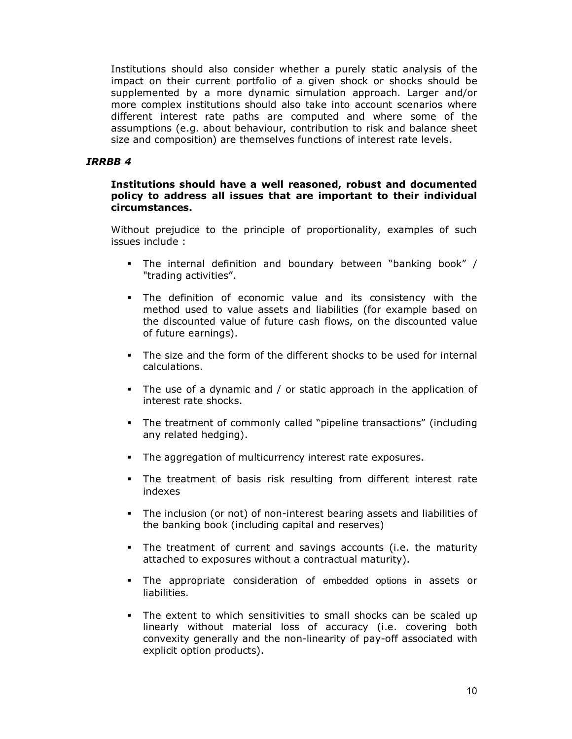Institutions should also consider whether a purely static analysis of the impact on their current portfolio of a given shock or shocks should be supplemented by a more dynamic simulation approach. Larger and/or more complex institutions should also take into account scenarios where different interest rate paths are computed and where some of the assumptions (e.g. about behaviour, contribution to risk and balance sheet size and composition) are themselves functions of interest rate levels.

# *IRRBB 4*

### **Institutions should have a well reasoned, robust and documented policy to address all issues that are important to their individual circumstances.**

Without prejudice to the principle of proportionality, examples of such issues include :

- The internal definition and boundary between "banking book" / "trading activities".
- ß The definition of economic value and its consistency with the method used to value assets and liabilities (for example based on the discounted value of future cash flows, on the discounted value of future earnings).
- The size and the form of the different shocks to be used for internal calculations.
- ß The use of a dynamic and / or static approach in the application of interest rate shocks.
- The treatment of commonly called "pipeline transactions" (including any related hedging).
- **The aggregation of multicurrency interest rate exposures.**
- The treatment of basis risk resulting from different interest rate indexes
- The inclusion (or not) of non-interest bearing assets and liabilities of the banking book (including capital and reserves)
- The treatment of current and savings accounts (i.e. the maturity attached to exposures without a contractual maturity).
- The appropriate consideration of embedded options in assets or liabilities.
- The extent to which sensitivities to small shocks can be scaled up linearly without material loss of accuracy (i.e. covering both convexity generally and the non-linearity of pay-off associated with explicit option products).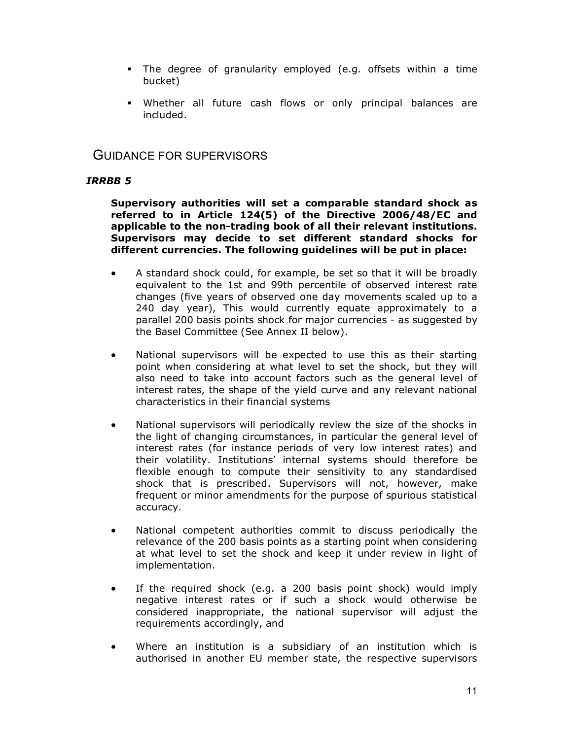- ß The degree of granularity employed (e.g. offsets within a time bucket)
- ß Whether all future cash flows or only principal balances are included.

# <span id="page-10-0"></span>GUIDANCE FOR SUPERVISORS

### *IRRBB 5*

**Supervisory authorities will set a comparable standard shock as referred to in Article 124(5) of the Directive 2006/48/EC and applicable to the nontrading book of all their relevant institutions. Supervisors may decide to set different standard shocks for different currencies. The following guidelines will be put in place:**

- · A standard shock could, for example, be set so that it will be broadly equivalent to the 1st and 99th percentile of observed interest rate changes (five years of observed one day movements scaled up to a 240 day year), This would currently equate approximately to a parallel 200 basis points shock for major currencies - as suggested by the Basel Committee (See Annex II below).
- · National supervisors will be expected to use this as their starting point when considering at what level to set the shock, but they will also need to take into account factors such as the general level of interest rates, the shape of the yield curve and any relevant national characteristics in their financial systems
- · National supervisors will periodically review the size of the shocks in the light of changing circumstances, in particular the general level of interest rates (for instance periods of very low interest rates) and their volatility. Institutions' internal systems should therefore be flexible enough to compute their sensitivity to any standardised shock that is prescribed. Supervisors will not, however, make frequent or minor amendments for the purpose of spurious statistical accuracy.
- · National competent authorities commit to discuss periodically the relevance of the 200 basis points as a starting point when considering at what level to set the shock and keep it under review in light of implementation.
- If the required shock (e.g. a 200 basis point shock) would imply negative interest rates or if such a shock would otherwise be considered inappropriate, the national supervisor will adjust the requirements accordingly, and
- · Where an institution is a subsidiary of an institution which is authorised in another EU member state, the respective supervisors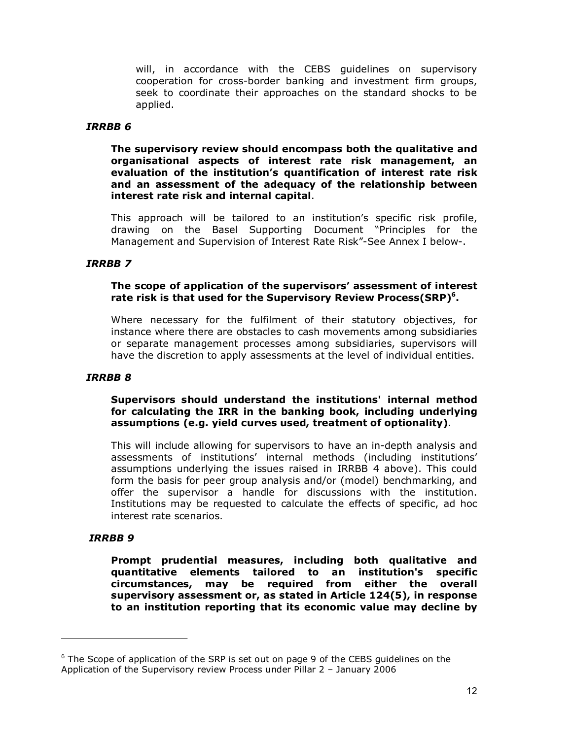will, in accordance with the CEBS guidelines on supervisory cooperation for cross-border banking and investment firm groups, seek to coordinate their approaches on the standard shocks to be applied.

## *IRRBB 6*

**The supervisory review should encompass both the qualitative and organisational aspects of interest rate risk management, an evaluation of the institution's quantification of interest rate risk and an assessment of the adequacy of the relationship between interest rate risk and internal capital**.

This approach will be tailored to an institution's specific risk profile, drawing on the Basel Supporting Document "Principles for the Management and Supervision of Interest Rate Risk"-See Annex I below-.

### *IRRBB 7*

### **The scope of application of the supervisors' assessment of interest rate risk is that used for the Supervisory Review Process(SRP) <sup>6</sup>.**

Where necessary for the fulfilment of their statutory objectives, for instance where there are obstacles to cash movements among subsidiaries or separate management processes among subsidiaries, supervisors will have the discretion to apply assessments at the level of individual entities.

#### *IRRBB 8*

## **Supervisors should understand the institutions' internal method for calculating the IRR in the banking book, including underlying assumptions (e.g. yield curves used, treatment of optionality)**.

This will include allowing for supervisors to have an in-depth analysis and assessments of institutions' internal methods (including institutions' assumptions underlying the issues raised in IRRBB 4 above). This could form the basis for peer group analysis and/or (model) benchmarking, and offer the supervisor a handle for discussions with the institution. Institutions may be requested to calculate the effects of specific, ad hoc interest rate scenarios.

#### *IRRBB 9*

**Prompt prudential measures, including both qualitative and quantitative elements tailored to an institution's specific circumstances, may be required from either the overall supervisory assessment or, as stated in Article 124(5), in response to an institution reporting that its economic value may decline by** 

 $6$  The Scope of application of the SRP is set out on page 9 of the CEBS guidelines on the Application of the Supervisory review Process under Pillar 2 – January 2006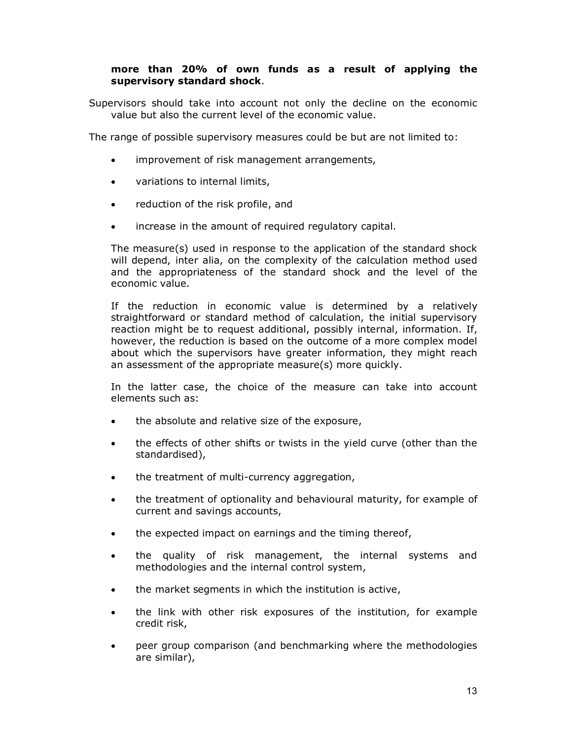## **more than 20% of own funds as a result of applying the supervisory standard shock**.

Supervisors should take into account not only the decline on the economic value but also the current level of the economic value.

The range of possible supervisory measures could be but are not limited to:

- · improvement of risk management arrangements,
- · variations to internal limits,
- · reduction of the risk profile, and
- increase in the amount of required regulatory capital.

The measure(s) used in response to the application of the standard shock will depend, inter alia, on the complexity of the calculation method used and the appropriateness of the standard shock and the level of the economic value.

If the reduction in economic value is determined by a relatively straightforward or standard method of calculation, the initial supervisory reaction might be to request additional, possibly internal, information. If, however, the reduction is based on the outcome of a more complex model about which the supervisors have greater information, they might reach an assessment of the appropriate measure(s) more quickly.

In the latter case, the choice of the measure can take into account elements such as:

- the absolute and relative size of the exposure,
- · the effects of other shifts or twists in the yield curve (other than the standardised),
- the treatment of multi-currency aggregation,
- · the treatment of optionality and behavioural maturity, for example of current and savings accounts,
- the expected impact on earnings and the timing thereof,
- the quality of risk management, the internal systems and methodologies and the internal control system,
- · the market segments in which the institution is active,
- the link with other risk exposures of the institution, for example credit risk,
- peer group comparison (and benchmarking where the methodologies are similar),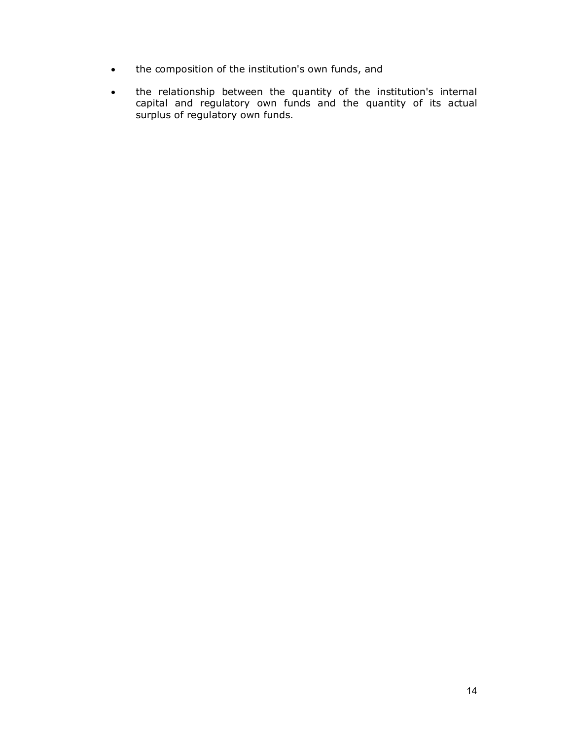- · the composition of the institution's own funds, and
- · the relationship between the quantity of the institution's internal capital and regulatory own funds and the quantity of its actual surplus of regulatory own funds.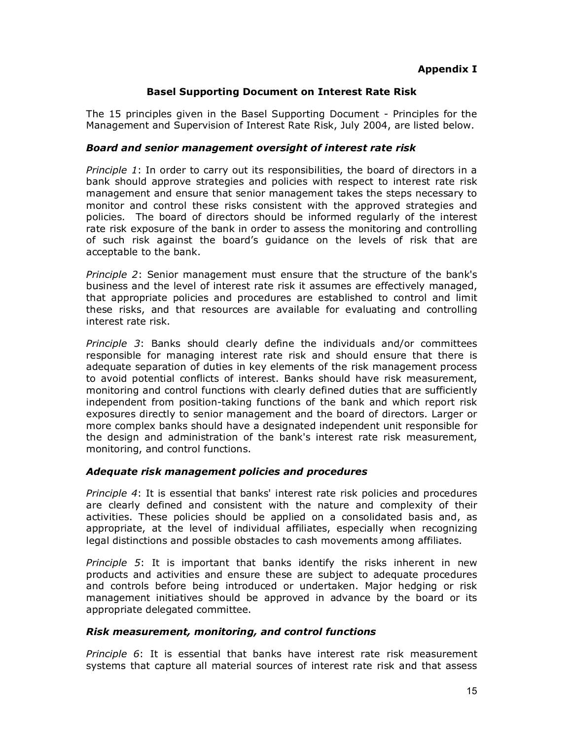## **Basel Supporting Document on Interest Rate Risk**

The 15 principles given in the Basel Supporting Document Principles for the Management and Supervision of Interest Rate Risk, July 2004, are listed below.

### *Board and senior management oversight of interest rate risk*

*Principle 1*: In order to carry out its responsibilities, the board of directors in a bank should approve strategies and policies with respect to interest rate risk management and ensure that senior management takes the steps necessary to monitor and control these risks consistent with the approved strategies and policies. The board of directors should be informed regularly of the interest rate risk exposure of the bank in order to assess the monitoring and controlling of such risk against the board's guidance on the levels of risk that are acceptable to the bank.

*Principle 2*: Senior management must ensure that the structure of the bank's business and the level of interest rate risk it assumes are effectively managed, that appropriate policies and procedures are established to control and limit these risks, and that resources are available for evaluating and controlling interest rate risk.

*Principle* 3: Banks should clearly define the individuals and/or committees responsible for managing interest rate risk and should ensure that there is adequate separation of duties in key elements of the risk management process to avoid potential conflicts of interest. Banks should have risk measurement, monitoring and control functions with clearly defined duties that are sufficiently independent from position-taking functions of the bank and which report risk exposures directly to senior management and the board of directors. Larger or more complex banks should have a designated independent unit responsible for the design and administration of the bank's interest rate risk measurement, monitoring, and control functions.

### *Adequate risk management policies and procedures*

*Principle 4*: It is essential that banks' interest rate risk policies and procedures are clearly defined and consistent with the nature and complexity of their activities. These policies should be applied on a consolidated basis and, as appropriate, at the level of individual affiliates, especially when recognizing legal distinctions and possible obstacles to cash movements among affiliates.

*Principle 5*: It is important that banks identify the risks inherent in new products and activities and ensure these are subject to adequate procedures and controls before being introduced or undertaken. Major hedging or risk management initiatives should be approved in advance by the board or its appropriate delegated committee.

### *Risk measurement, monitoring, and control functions*

*Principle 6*: It is essential that banks have interest rate risk measurement systems that capture all material sources of interest rate risk and that assess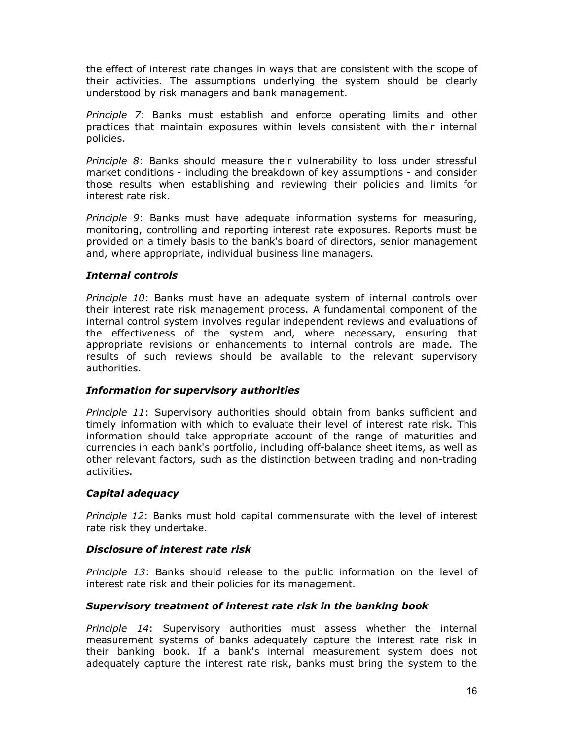the effect of interest rate changes in ways that are consistent with the scope of their activities. The assumptions underlying the system should be clearly understood by risk managers and bank management.

*Principle 7*: Banks must establish and enforce operating limits and other practices that maintain exposures within levels consistent with their internal policies.

*Principle 8*: Banks should measure their vulnerability to loss under stressful market conditions - including the breakdown of key assumptions - and consider those results when establishing and reviewing their policies and limits for interest rate risk.

*Principle 9*: Banks must have adequate information systems for measuring, monitoring, controlling and reporting interest rate exposures. Reports must be provided on a timely basis to the bank's board of directors, senior management and, where appropriate, individual business line managers.

## *Internal controls*

*Principle 10*: Banks must have an adequate system of internal controls over their interest rate risk management process. A fundamental component of the internal control system involves regular independent reviews and evaluations of the effectiveness of the system and, where necessary, ensuring that appropriate revisions or enhancements to internal controls are made. The results of such reviews should be available to the relevant supervisory authorities.

### *Information for supervisory authorities*

*Principle 11*: Supervisory authorities should obtain from banks sufficient and timely information with which to evaluate their level of interest rate risk. This information should take appropriate account of the range of maturities and currencies in each bank's portfolio, including off-balance sheet items, as well as other relevant factors, such as the distinction between trading and non-trading activities.

### *Capital adequacy*

*Principle 12*: Banks must hold capital commensurate with the level of interest rate risk they undertake.

### *Disclosure of interest rate risk*

*Principle 13*: Banks should release to the public information on the level of interest rate risk and their policies for its management.

# *Supervisory treatment of interest rate risk in the banking book*

*Principle 14*: Supervisory authorities must assess whether the internal measurement systems of banks adequately capture the interest rate risk in their banking book. If a bank's internal measurement system does not adequately capture the interest rate risk, banks must bring the system to the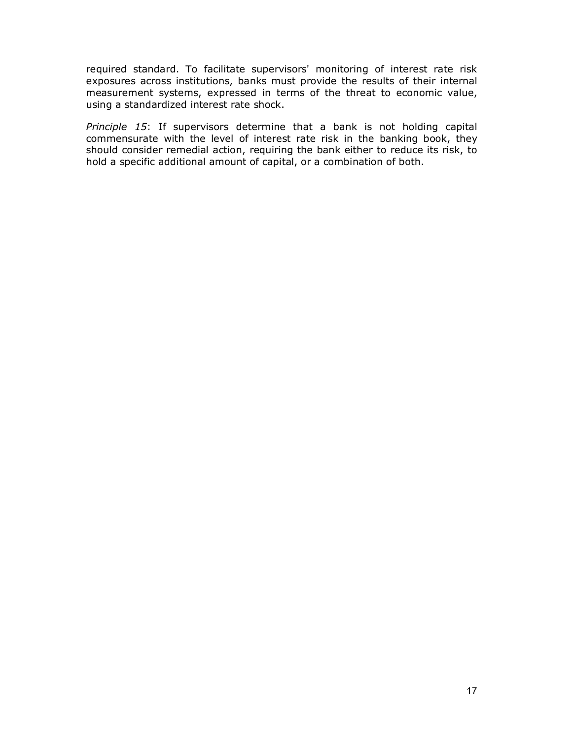required standard. To facilitate supervisors' monitoring of interest rate risk exposures across institutions, banks must provide the results of their internal measurement systems, expressed in terms of the threat to economic value, using a standardized interest rate shock.

*Principle 15*: If supervisors determine that a bank is not holding capital commensurate with the level of interest rate risk in the banking book, they should consider remedial action, requiring the bank either to reduce its risk, to hold a specific additional amount of capital, or a combination of both.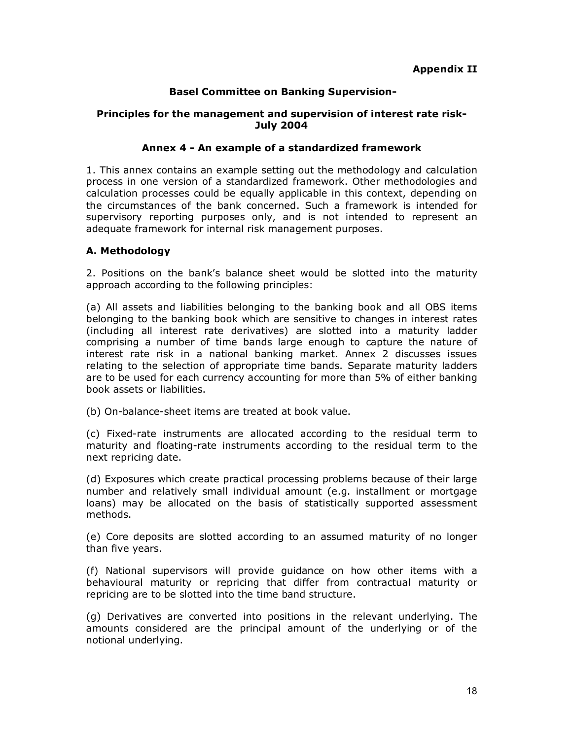## **Basel Committee on Banking Supervision-**

### **Principles for the management and supervision of interest rate risk-July 2004**

### **Annex 4 An example of a standardized framework**

1. This annex contains an example setting out the methodology and calculation process in one version of a standardized framework. Other methodologies and calculation processes could be equally applicable in this context, depending on the circumstances of the bank concerned. Such a framework is intended for supervisory reporting purposes only, and is not intended to represent an adequate framework for internal risk management purposes.

### **A. Methodology**

2. Positions on the bank's balance sheet would be slotted into the maturity approach according to the following principles:

(a) All assets and liabilities belonging to the banking book and all OBS items belonging to the banking book which are sensitive to changes in interest rates (including all interest rate derivatives) are slotted into a maturity ladder comprising a number of time bands large enough to capture the nature of interest rate risk in a national banking market. Annex 2 discusses issues relating to the selection of appropriate time bands. Separate maturity ladders are to be used for each currency accounting for more than 5% of either banking book assets or liabilities.

(b) On-balance-sheet items are treated at book value.

(c) Fixed-rate instruments are allocated according to the residual term to maturity and floating-rate instruments according to the residual term to the next repricing date.

(d) Exposures which create practical processing problems because of their large number and relatively small individual amount (e.g. installment or mortgage loans) may be allocated on the basis of statistically supported assessment methods.

(e) Core deposits are slotted according to an assumed maturity of no longer than five years.

(f) National supervisors will provide guidance on how other items with a behavioural maturity or repricing that differ from contractual maturity or repricing are to be slotted into the time band structure.

(g) Derivatives are converted into positions in the relevant underlying. The amounts considered are the principal amount of the underlying or of the notional underlying.